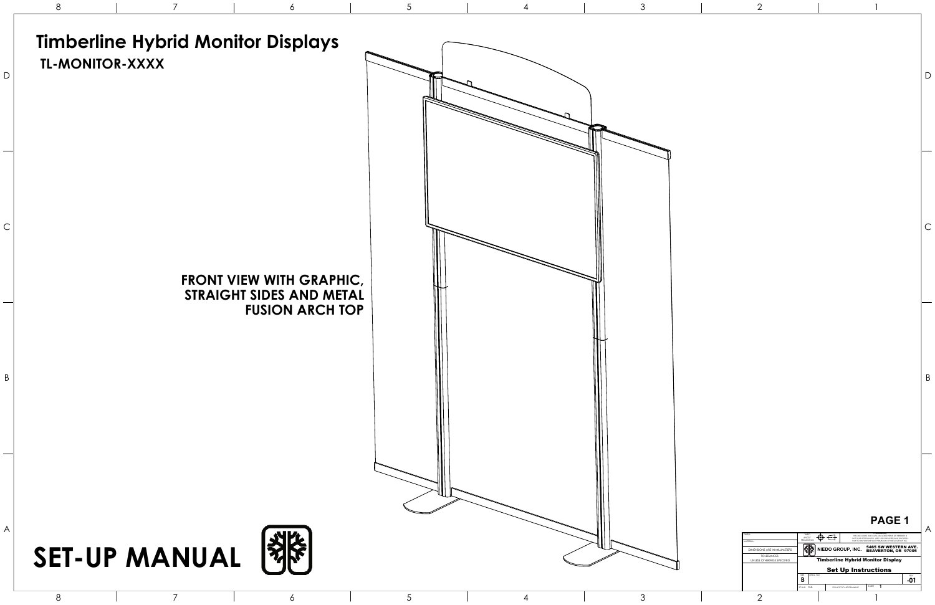### **PAGE 1**



| FINISH-<br>MATERIAI -                       | . PROPRIFIARY .<br>THRD<br>THIS DOCTIMENT AND DATA DISCLOSED HERIN OR HEREWITH IS<br>ANGLE<br>NOT TO BE REPRODUCED. USED. OR DISCLOSED IN WHOLE OR IN<br><b>PROJECTION</b><br>PART TO ANYONE WITHOUT PERMISSION OF NEDO GROUP. INC. |                                          |                                                    |                   |  |
|---------------------------------------------|-------------------------------------------------------------------------------------------------------------------------------------------------------------------------------------------------------------------------------------|------------------------------------------|----------------------------------------------------|-------------------|--|
| DIMENSIONS ARE IN MILLIMETERS.              |                                                                                                                                                                                                                                     | NIEDO GROUP, INC.                        | 5465 SW WESTERN AVE.<br><b>BEAVERTON, OR 97005</b> |                   |  |
| TOI FRANCES<br>UNI ESS OTHERWISE SPECIFIED. |                                                                                                                                                                                                                                     | <b>Timberline Hybrid Monitor Display</b> |                                                    |                   |  |
|                                             | <b>Set Up Instructions</b>                                                                                                                                                                                                          |                                          |                                                    |                   |  |
|                                             | DWG NO<br>SIZE<br>B                                                                                                                                                                                                                 |                                          |                                                    | <b>REV</b><br>-01 |  |
|                                             | SCALE: NA                                                                                                                                                                                                                           | DO NOT SCALE DRAWING.                    | SHEET                                              |                   |  |
|                                             |                                                                                                                                                                                                                                     |                                          |                                                    |                   |  |

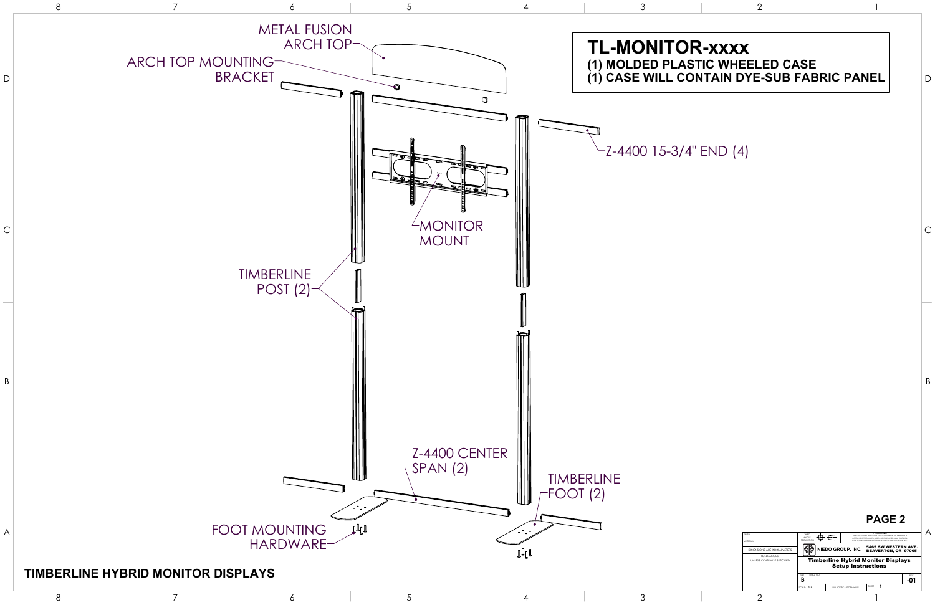

2

1

| <b>FINISH:</b>                             | THRD<br>ANGLE<br><b>PROJECTION</b> | THIS DOCUMENT AND DATA DISCUDSED HERIN OR HEREWITH IS<br>NOT TO BE REPRODUCED. USED. OR DISCLOSED IN WHOLE OR IN |                                                           |                   |  |  |  |
|--------------------------------------------|------------------------------------|------------------------------------------------------------------------------------------------------------------|-----------------------------------------------------------|-------------------|--|--|--|
| MATERIAL:                                  |                                    |                                                                                                                  | PART TO ANYONE WITHOUT PERMISSION OF NEDO GROUP. INC.     |                   |  |  |  |
| DIMENSIONS ARE IN MILLIMETERS.             |                                    | NIEDO GROUP, INC.                                                                                                | <b>5465 SW WESTERN AVE.</b><br><b>BEAVERTON, OR 97005</b> |                   |  |  |  |
| TOI FRANCES<br>UNLESS OTHERWISE SPECIFIED. |                                    | <b>Timberline Hybrid Monitor Displays</b>                                                                        |                                                           |                   |  |  |  |
|                                            |                                    | <b>Setup Instructions</b>                                                                                        |                                                           |                   |  |  |  |
|                                            | DWG NO<br>SIZE<br>B                |                                                                                                                  |                                                           | <b>REV</b><br>-01 |  |  |  |
|                                            | SCALE: NA                          | DO NOT SCALE DRAWING                                                                                             | SHEET                                                     |                   |  |  |  |
|                                            |                                    |                                                                                                                  |                                                           |                   |  |  |  |

# **(1) MOLDED PLASTIC WHEELED CASE**

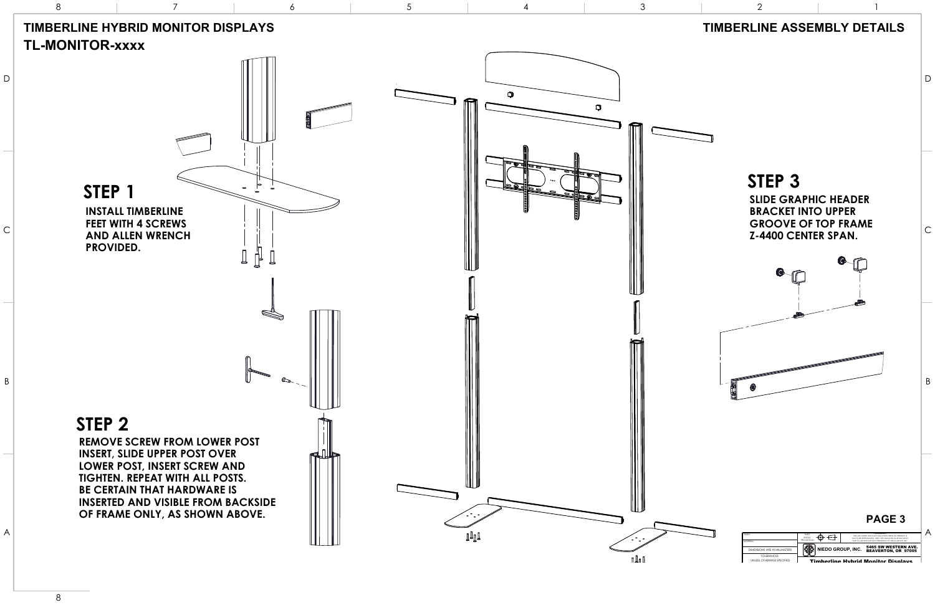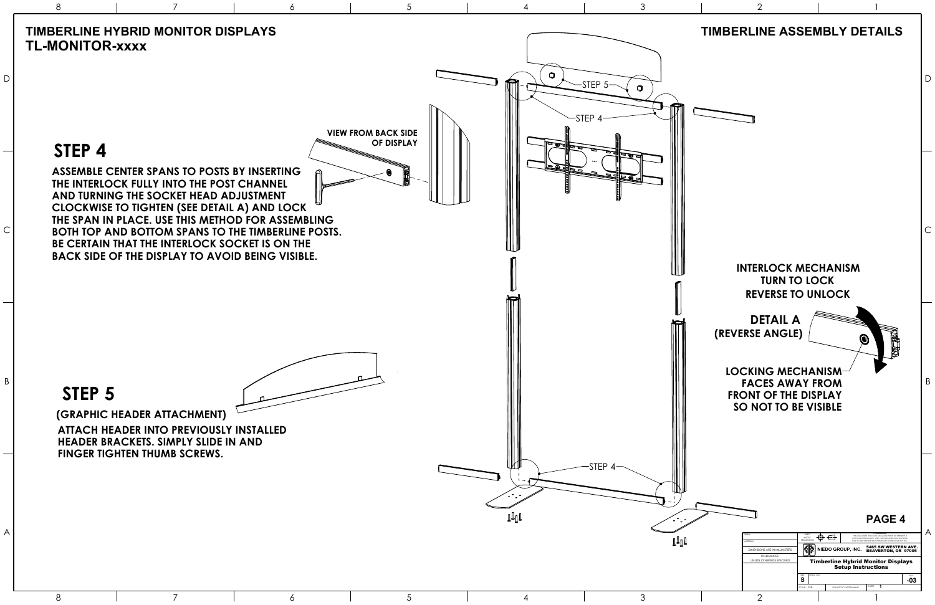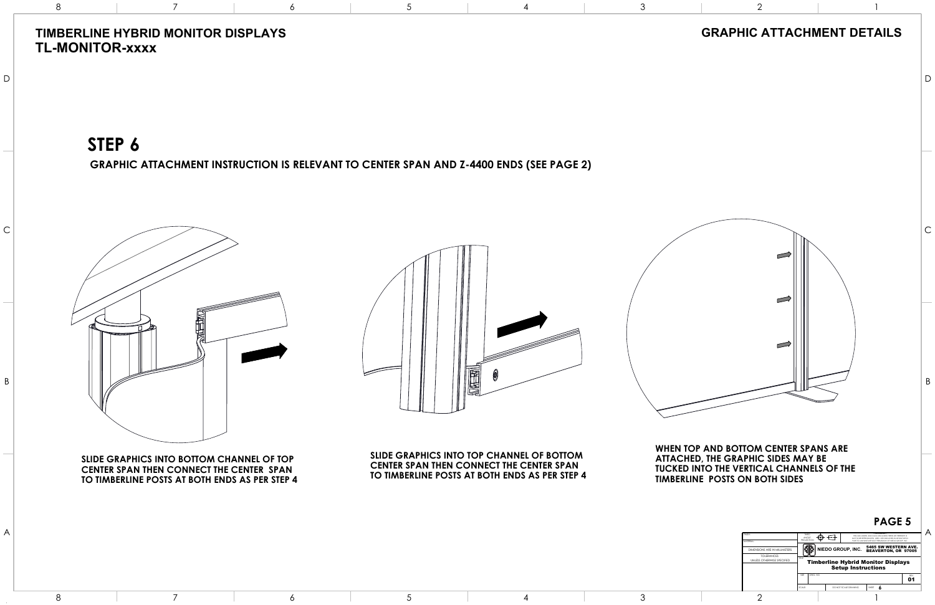**CENTER SPAN THEN CONNECT THE CENTER SPAN TO TIMBERLINE POSTS AT BOTH ENDS AS PER STEP 4 SLIDE GRAPHICS INTO TOP CHANNEL OF BOTTOM**

**CENTER SPAN THEN CONNECT THE CENTER SPAN TO TIMBERLINE POSTS AT BOTH ENDS AS PER STEP 4 SLIDE GRAPHICS INTO BOTTOM CHANNEL OF TOP**



**STEP 6**

**GRAPHIC ATTACHMENT INSTRUCTION IS RELEVANT TO CENTER SPAN AND Z-4400 ENDS (SEE PAGE 2)**

## **TIMBERLINE HYBRID MONITOR DISPLAYS TL-MONITOR-xxxx**



A

B

C

D

8

7

6

5

4

3

2

1

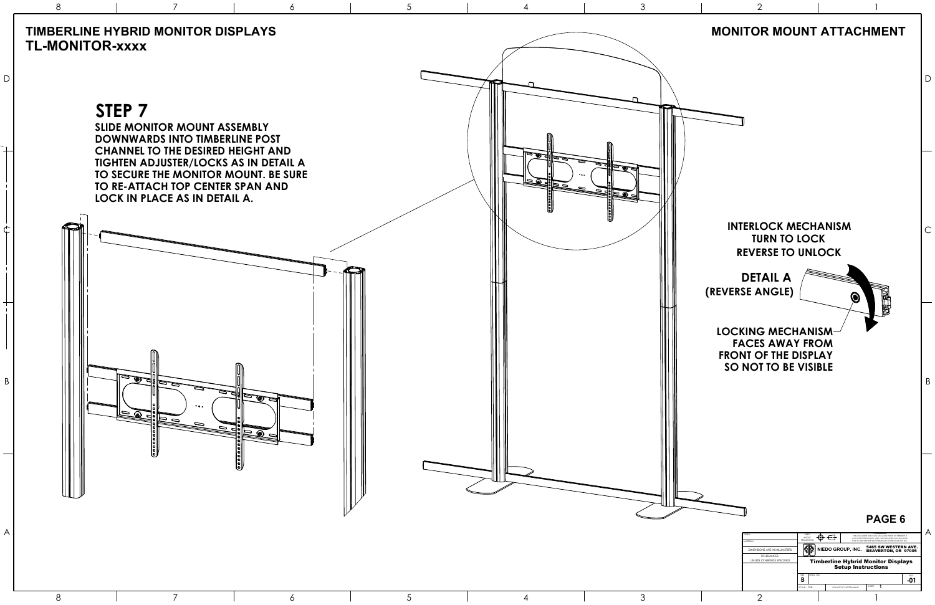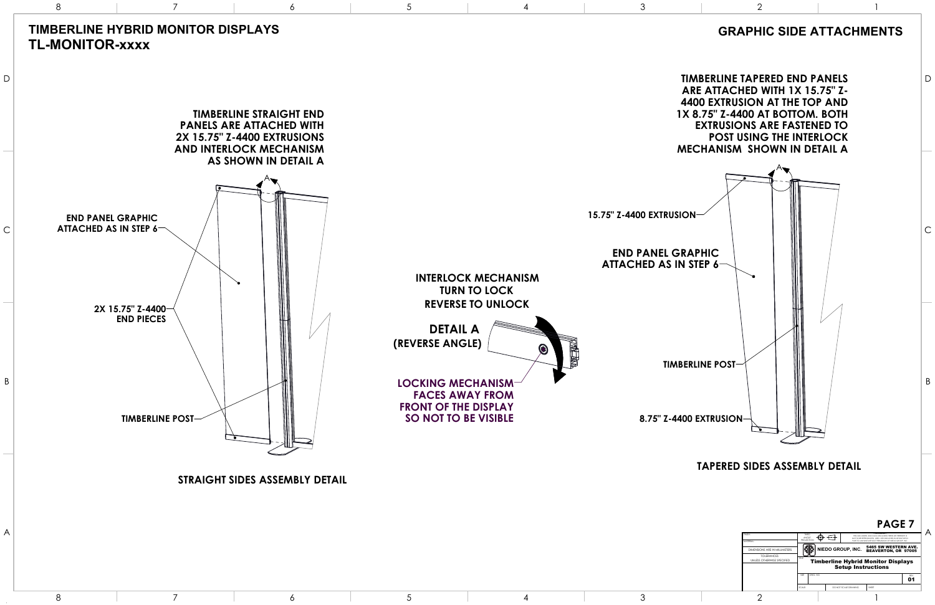|                                           |                                                                                                                                                                                                                                            |          |                   |                      |  |       | 1 AVL 7                                            |                  |  |
|-------------------------------------------|--------------------------------------------------------------------------------------------------------------------------------------------------------------------------------------------------------------------------------------------|----------|-------------------|----------------------|--|-------|----------------------------------------------------|------------------|--|
| <b>HAINE</b><br><b>AATERIAI-</b>          | . PROPRIFIARY .<br>THRD<br>THIS DOCTIMENT AND DATA DISCLOSED HERIN OR HEREWITH IS<br><b>ANGLE</b><br>NOT TO BE REPRODUCED. USED. OR DISCLOSED IN WHOLE OR IN<br><b>PROJECTION</b><br>PART TO ANYONE WITHOUT PERMISSION OF NEDO GROUP. INC. |          |                   |                      |  |       |                                                    |                  |  |
| DIMENSIONS ARE IN MILLIMETERS.            |                                                                                                                                                                                                                                            |          | NIEDO GROUP, INC. |                      |  |       | 5465 SW WESTERN AVE.<br><b>BEAVERTON, OR 97005</b> |                  |  |
| TOI FRANCES<br>UNLESS OTHERWISE SPECIFIED | TITLE.<br><b>Timberline Hybrid Monitor Displays</b><br><b>Setup Instructions</b>                                                                                                                                                           |          |                   |                      |  |       |                                                    |                  |  |
|                                           | SØF                                                                                                                                                                                                                                        | DWG, NO. |                   |                      |  |       |                                                    | <b>REV</b><br>01 |  |
|                                           | SCALE:                                                                                                                                                                                                                                     |          |                   | DO NOT SCALE DRAWING |  | SHEET |                                                    |                  |  |
|                                           |                                                                                                                                                                                                                                            |          |                   |                      |  |       |                                                    |                  |  |

8

7

6

5

4

3